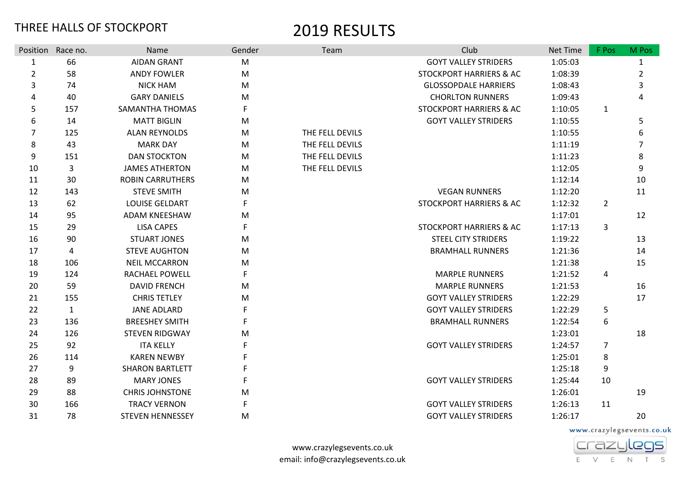|                  | Position Race no. | Name                    | Gender    | Team            | Club                               | Net Time | F Pos          | M Pos |
|------------------|-------------------|-------------------------|-----------|-----------------|------------------------------------|----------|----------------|-------|
| $\mathbf{1}$     | 66                | <b>AIDAN GRANT</b>      | ${\sf M}$ |                 | <b>GOYT VALLEY STRIDERS</b>        | 1:05:03  |                | 1     |
| $\overline{2}$   | 58                | <b>ANDY FOWLER</b>      | ${\sf M}$ |                 | <b>STOCKPORT HARRIERS &amp; AC</b> | 1:08:39  |                | 2     |
| 3                | 74                | <b>NICK HAM</b>         | M         |                 | <b>GLOSSOPDALE HARRIERS</b>        | 1:08:43  |                | 3     |
| 4                | 40                | <b>GARY DANIELS</b>     | M         |                 | <b>CHORLTON RUNNERS</b>            | 1:09:43  |                | 4     |
| 5                | 157               | SAMANTHA THOMAS         |           |                 | <b>STOCKPORT HARRIERS &amp; AC</b> | 1:10:05  | $\mathbf{1}$   |       |
| 6                | 14                | <b>MATT BIGLIN</b>      | M         |                 | <b>GOYT VALLEY STRIDERS</b>        | 1:10:55  |                | 5     |
| 7                | 125               | <b>ALAN REYNOLDS</b>    | M         | THE FELL DEVILS |                                    | 1:10:55  |                | 6     |
| $\,8\,$          | 43                | <b>MARK DAY</b>         | M         | THE FELL DEVILS |                                    | 1:11:19  |                | 7     |
| $\boldsymbol{9}$ | 151               | <b>DAN STOCKTON</b>     | M         | THE FELL DEVILS |                                    | 1:11:23  |                | 8     |
| 10               | 3                 | <b>JAMES ATHERTON</b>   | M         | THE FELL DEVILS |                                    | 1:12:05  |                | 9     |
| 11               | 30                | <b>ROBIN CARRUTHERS</b> | M         |                 |                                    | 1:12:14  |                | 10    |
| 12               | 143               | <b>STEVE SMITH</b>      | М         |                 | <b>VEGAN RUNNERS</b>               | 1:12:20  |                | 11    |
| 13               | 62                | <b>LOUISE GELDART</b>   |           |                 | <b>STOCKPORT HARRIERS &amp; AC</b> | 1:12:32  | 2              |       |
| 14               | 95                | ADAM KNEESHAW           | M         |                 |                                    | 1:17:01  |                | 12    |
| 15               | 29                | <b>LISA CAPES</b>       | F         |                 | <b>STOCKPORT HARRIERS &amp; AC</b> | 1:17:13  | 3              |       |
| 16               | 90                | <b>STUART JONES</b>     | M         |                 | <b>STEEL CITY STRIDERS</b>         | 1:19:22  |                | 13    |
| 17               | 4                 | <b>STEVE AUGHTON</b>    | M         |                 | <b>BRAMHALL RUNNERS</b>            | 1:21:36  |                | 14    |
| 18               | 106               | <b>NEIL MCCARRON</b>    | M         |                 |                                    | 1:21:38  |                | 15    |
| 19               | 124               | <b>RACHAEL POWELL</b>   |           |                 | <b>MARPLE RUNNERS</b>              | 1:21:52  | 4              |       |
| 20               | 59                | <b>DAVID FRENCH</b>     | M         |                 | <b>MARPLE RUNNERS</b>              | 1:21:53  |                | 16    |
| 21               | 155               | <b>CHRIS TETLEY</b>     | M         |                 | <b>GOYT VALLEY STRIDERS</b>        | 1:22:29  |                | 17    |
| 22               | $\mathbf{1}$      | <b>JANE ADLARD</b>      |           |                 | <b>GOYT VALLEY STRIDERS</b>        | 1:22:29  | 5              |       |
| 23               | 136               | <b>BREESHEY SMITH</b>   |           |                 | <b>BRAMHALL RUNNERS</b>            | 1:22:54  | 6              |       |
| 24               | 126               | <b>STEVEN RIDGWAY</b>   | М         |                 |                                    | 1:23:01  |                | 18    |
| 25               | 92                | <b>ITA KELLY</b>        |           |                 | <b>GOYT VALLEY STRIDERS</b>        | 1:24:57  | $\overline{7}$ |       |
| 26               | 114               | <b>KAREN NEWBY</b>      |           |                 |                                    | 1:25:01  | 8              |       |
| 27               | 9                 | <b>SHARON BARTLETT</b>  |           |                 |                                    | 1:25:18  | 9              |       |
| 28               | 89                | <b>MARY JONES</b>       |           |                 | <b>GOYT VALLEY STRIDERS</b>        | 1:25:44  | 10             |       |
| 29               | 88                | <b>CHRIS JOHNSTONE</b>  | M         |                 |                                    | 1:26:01  |                | 19    |
| 30               | 166               | <b>TRACY VERNON</b>     | F         |                 | <b>GOYT VALLEY STRIDERS</b>        | 1:26:13  | 11             |       |
| 31               | 78                | <b>STEVEN HENNESSEY</b> | М         |                 | <b>GOYT VALLEY STRIDERS</b>        | 1:26:17  |                | 20    |

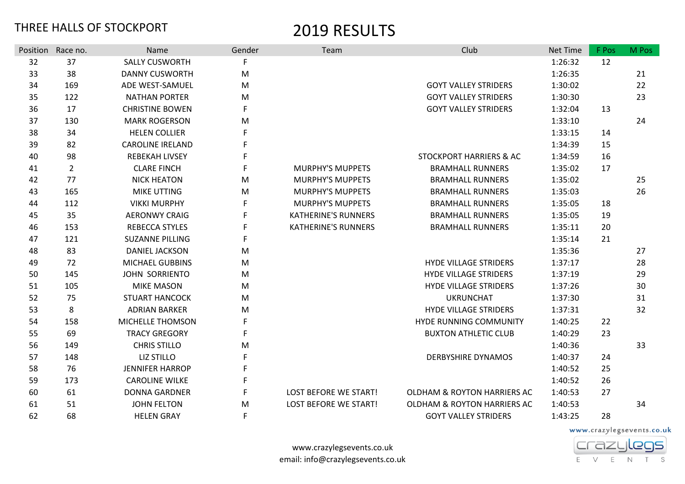|    | Position Race no. | Name                    | Gender | Team                         | Club                                   | Net Time | F Pos | M Pos |
|----|-------------------|-------------------------|--------|------------------------------|----------------------------------------|----------|-------|-------|
| 32 | 37                | <b>SALLY CUSWORTH</b>   | F      |                              |                                        | 1:26:32  | 12    |       |
| 33 | 38                | <b>DANNY CUSWORTH</b>   | M      |                              |                                        | 1:26:35  |       | 21    |
| 34 | 169               | ADE WEST-SAMUEL         | M      |                              | <b>GOYT VALLEY STRIDERS</b>            | 1:30:02  |       | 22    |
| 35 | 122               | <b>NATHAN PORTER</b>    | M      |                              | <b>GOYT VALLEY STRIDERS</b>            | 1:30:30  |       | 23    |
| 36 | 17                | <b>CHRISTINE BOWEN</b>  | F      |                              | <b>GOYT VALLEY STRIDERS</b>            | 1:32:04  | 13    |       |
| 37 | 130               | <b>MARK ROGERSON</b>    | M      |                              |                                        | 1:33:10  |       | 24    |
| 38 | 34                | <b>HELEN COLLIER</b>    |        |                              |                                        | 1:33:15  | 14    |       |
| 39 | 82                | <b>CAROLINE IRELAND</b> | F      |                              |                                        | 1:34:39  | 15    |       |
| 40 | 98                | <b>REBEKAH LIVSEY</b>   | F      |                              | <b>STOCKPORT HARRIERS &amp; AC</b>     | 1:34:59  | 16    |       |
| 41 | $\overline{2}$    | <b>CLARE FINCH</b>      | F      | <b>MURPHY'S MUPPETS</b>      | <b>BRAMHALL RUNNERS</b>                | 1:35:02  | 17    |       |
| 42 | 77                | <b>NICK HEATON</b>      | M      | <b>MURPHY'S MUPPETS</b>      | <b>BRAMHALL RUNNERS</b>                | 1:35:02  |       | 25    |
| 43 | 165               | <b>MIKE UTTING</b>      | M      | <b>MURPHY'S MUPPETS</b>      | <b>BRAMHALL RUNNERS</b>                | 1:35:03  |       | 26    |
| 44 | 112               | <b>VIKKI MURPHY</b>     | F      | <b>MURPHY'S MUPPETS</b>      | <b>BRAMHALL RUNNERS</b>                | 1:35:05  | 18    |       |
| 45 | 35                | <b>AERONWY CRAIG</b>    | F      | <b>KATHERINE'S RUNNERS</b>   | <b>BRAMHALL RUNNERS</b>                | 1:35:05  | 19    |       |
| 46 | 153               | REBECCA STYLES          | F      | <b>KATHERINE'S RUNNERS</b>   | <b>BRAMHALL RUNNERS</b>                | 1:35:11  | 20    |       |
| 47 | 121               | <b>SUZANNE PILLING</b>  | F      |                              |                                        | 1:35:14  | 21    |       |
| 48 | 83                | <b>DANIEL JACKSON</b>   | M      |                              |                                        | 1:35:36  |       | 27    |
| 49 | 72                | MICHAEL GUBBINS         | M      |                              | <b>HYDE VILLAGE STRIDERS</b>           | 1:37:17  |       | 28    |
| 50 | 145               | JOHN SORRIENTO          | M      |                              | HYDE VILLAGE STRIDERS                  | 1:37:19  |       | 29    |
| 51 | 105               | <b>MIKE MASON</b>       | M      |                              | <b>HYDE VILLAGE STRIDERS</b>           | 1:37:26  |       | 30    |
| 52 | 75                | <b>STUART HANCOCK</b>   | M      |                              | <b>UKRUNCHAT</b>                       | 1:37:30  |       | 31    |
| 53 | 8                 | <b>ADRIAN BARKER</b>    | M      |                              | <b>HYDE VILLAGE STRIDERS</b>           | 1:37:31  |       | 32    |
| 54 | 158               | MICHELLE THOMSON        |        |                              | HYDE RUNNING COMMUNITY                 | 1:40:25  | 22    |       |
| 55 | 69                | <b>TRACY GREGORY</b>    | F      |                              | <b>BUXTON ATHLETIC CLUB</b>            | 1:40:29  | 23    |       |
| 56 | 149               | <b>CHRIS STILLO</b>     | M      |                              |                                        | 1:40:36  |       | 33    |
| 57 | 148               | LIZ STILLO              | F      |                              | <b>DERBYSHIRE DYNAMOS</b>              | 1:40:37  | 24    |       |
| 58 | 76                | <b>JENNIFER HARROP</b>  | F      |                              |                                        | 1:40:52  | 25    |       |
| 59 | 173               | <b>CAROLINE WILKE</b>   | F      |                              |                                        | 1:40:52  | 26    |       |
| 60 | 61                | <b>DONNA GARDNER</b>    | F      | <b>LOST BEFORE WE START!</b> | <b>OLDHAM &amp; ROYTON HARRIERS AC</b> | 1:40:53  | 27    |       |
| 61 | 51                | <b>JOHN FELTON</b>      | M      | <b>LOST BEFORE WE START!</b> | <b>OLDHAM &amp; ROYTON HARRIERS AC</b> | 1:40:53  |       | 34    |
| 62 | 68                | <b>HELEN GRAY</b>       | F      |                              | <b>GOYT VALLEY STRIDERS</b>            | 1:43:25  | 28    |       |

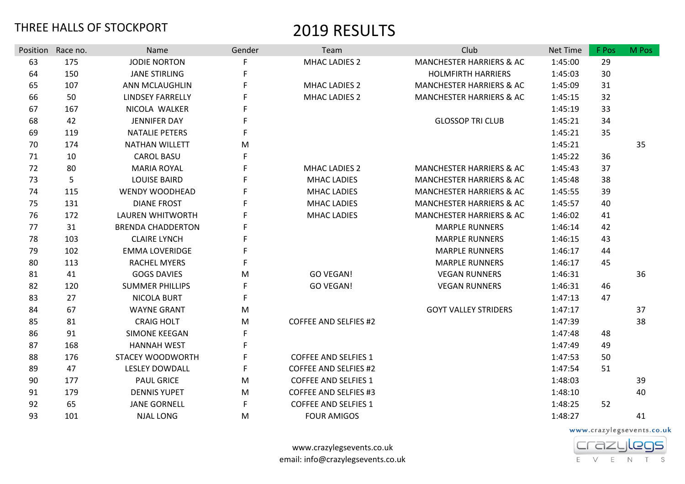|    | Position Race no. | Name                     | Gender      | Team                         | Club                                | Net Time | F Pos | M Pos |
|----|-------------------|--------------------------|-------------|------------------------------|-------------------------------------|----------|-------|-------|
| 63 | 175               | <b>JODIE NORTON</b>      | F           | <b>MHAC LADIES 2</b>         | <b>MANCHESTER HARRIERS &amp; AC</b> | 1:45:00  | 29    |       |
| 64 | 150               | <b>JANE STIRLING</b>     | F           |                              | <b>HOLMFIRTH HARRIERS</b>           | 1:45:03  | 30    |       |
| 65 | 107               | ANN MCLAUGHLIN           | F           | <b>MHAC LADIES 2</b>         | <b>MANCHESTER HARRIERS &amp; AC</b> | 1:45:09  | 31    |       |
| 66 | 50                | <b>LINDSEY FARRELLY</b>  | F           | <b>MHAC LADIES 2</b>         | <b>MANCHESTER HARRIERS &amp; AC</b> | 1:45:15  | 32    |       |
| 67 | 167               | NICOLA WALKER            | F           |                              |                                     | 1:45:19  | 33    |       |
| 68 | 42                | <b>JENNIFER DAY</b>      | F           |                              | <b>GLOSSOP TRI CLUB</b>             | 1:45:21  | 34    |       |
| 69 | 119               | <b>NATALIE PETERS</b>    | $\mathsf F$ |                              |                                     | 1:45:21  | 35    |       |
| 70 | 174               | <b>NATHAN WILLETT</b>    | M           |                              |                                     | 1:45:21  |       | 35    |
| 71 | 10                | <b>CAROL BASU</b>        | F           |                              |                                     | 1:45:22  | 36    |       |
| 72 | 80                | <b>MARIA ROYAL</b>       | F           | <b>MHAC LADIES 2</b>         | <b>MANCHESTER HARRIERS &amp; AC</b> | 1:45:43  | 37    |       |
| 73 | 5                 | <b>LOUISE BAIRD</b>      | $\mathsf F$ | <b>MHAC LADIES</b>           | <b>MANCHESTER HARRIERS &amp; AC</b> | 1:45:48  | 38    |       |
| 74 | 115               | <b>WENDY WOODHEAD</b>    | F           | <b>MHAC LADIES</b>           | <b>MANCHESTER HARRIERS &amp; AC</b> | 1:45:55  | 39    |       |
| 75 | 131               | <b>DIANE FROST</b>       | F           | <b>MHAC LADIES</b>           | <b>MANCHESTER HARRIERS &amp; AC</b> | 1:45:57  | 40    |       |
| 76 | 172               | <b>LAUREN WHITWORTH</b>  | F           | <b>MHAC LADIES</b>           | <b>MANCHESTER HARRIERS &amp; AC</b> | 1:46:02  | 41    |       |
| 77 | 31                | <b>BRENDA CHADDERTON</b> | F           |                              | <b>MARPLE RUNNERS</b>               | 1:46:14  | 42    |       |
| 78 | 103               | <b>CLAIRE LYNCH</b>      | F           |                              | <b>MARPLE RUNNERS</b>               | 1:46:15  | 43    |       |
| 79 | 102               | <b>EMMA LOVERIDGE</b>    | F           |                              | <b>MARPLE RUNNERS</b>               | 1:46:17  | 44    |       |
| 80 | 113               | <b>RACHEL MYERS</b>      | F           |                              | <b>MARPLE RUNNERS</b>               | 1:46:17  | 45    |       |
| 81 | 41                | <b>GOGS DAVIES</b>       | M           | <b>GO VEGAN!</b>             | <b>VEGAN RUNNERS</b>                | 1:46:31  |       | 36    |
| 82 | 120               | <b>SUMMER PHILLIPS</b>   | F           | <b>GO VEGAN!</b>             | <b>VEGAN RUNNERS</b>                | 1:46:31  | 46    |       |
| 83 | 27                | <b>NICOLA BURT</b>       | F           |                              |                                     | 1:47:13  | 47    |       |
| 84 | 67                | <b>WAYNE GRANT</b>       | ${\sf M}$   |                              | <b>GOYT VALLEY STRIDERS</b>         | 1:47:17  |       | 37    |
| 85 | 81                | <b>CRAIG HOLT</b>        | M           | <b>COFFEE AND SELFIES #2</b> |                                     | 1:47:39  |       | 38    |
| 86 | 91                | SIMONE KEEGAN            | F           |                              |                                     | 1:47:48  | 48    |       |
| 87 | 168               | <b>HANNAH WEST</b>       | F           |                              |                                     | 1:47:49  | 49    |       |
| 88 | 176               | STACEY WOODWORTH         | $\mathsf F$ | <b>COFFEE AND SELFIES 1</b>  |                                     | 1:47:53  | 50    |       |
| 89 | 47                | <b>LESLEY DOWDALL</b>    | F           | <b>COFFEE AND SELFIES #2</b> |                                     | 1:47:54  | 51    |       |
| 90 | 177               | <b>PAUL GRICE</b>        | M           | <b>COFFEE AND SELFIES 1</b>  |                                     | 1:48:03  |       | 39    |
| 91 | 179               | <b>DENNIS YUPET</b>      | M           | <b>COFFEE AND SELFIES #3</b> |                                     | 1:48:10  |       | 40    |
| 92 | 65                | <b>JANE GORNELL</b>      | F           | <b>COFFEE AND SELFIES 1</b>  |                                     | 1:48:25  | 52    |       |
| 93 | 101               | <b>NJAL LONG</b>         | ${\sf M}$   | <b>FOUR AMIGOS</b>           |                                     | 1:48:27  |       | 41    |

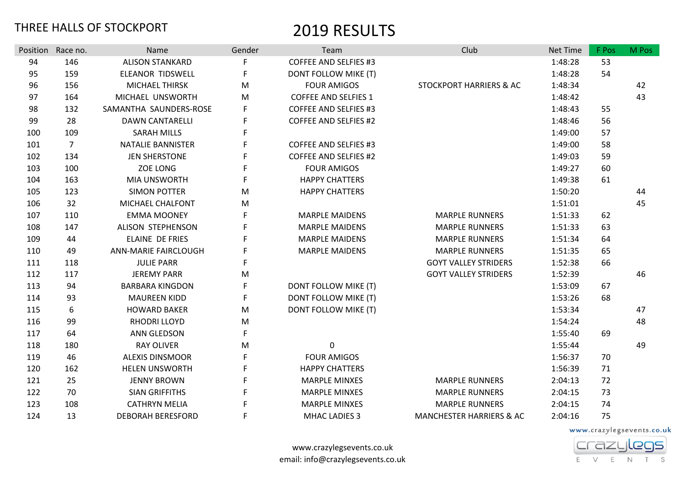| Position | Race no.       | Name                        | Gender | Team                         | Club                                | Net Time | F Pos | M Pos |
|----------|----------------|-----------------------------|--------|------------------------------|-------------------------------------|----------|-------|-------|
| 94       | 146            | <b>ALISON STANKARD</b>      |        | <b>COFFEE AND SELFIES #3</b> |                                     | 1:48:28  | 53    |       |
| 95       | 159            | <b>ELEANOR TIDSWELL</b>     | F      | DONT FOLLOW MIKE (T)         |                                     | 1:48:28  | 54    |       |
| 96       | 156            | <b>MICHAEL THIRSK</b>       | M      | <b>FOUR AMIGOS</b>           | <b>STOCKPORT HARRIERS &amp; AC</b>  | 1:48:34  |       | 42    |
| 97       | 164            | MICHAEL UNSWORTH            | M      | <b>COFFEE AND SELFIES 1</b>  |                                     | 1:48:42  |       | 43    |
| 98       | 132            | SAMANTHA SAUNDERS-ROSE      |        | <b>COFFEE AND SELFIES #3</b> |                                     | 1:48:43  | 55    |       |
| 99       | 28             | <b>DAWN CANTARELLI</b>      | F      | <b>COFFEE AND SELFIES #2</b> |                                     | 1:48:46  | 56    |       |
| 100      | 109            | <b>SARAH MILLS</b>          | F      |                              |                                     | 1:49:00  | 57    |       |
| 101      | $\overline{7}$ | <b>NATALIE BANNISTER</b>    | F      | <b>COFFEE AND SELFIES #3</b> |                                     | 1:49:00  | 58    |       |
| 102      | 134            | <b>JEN SHERSTONE</b>        | F      | <b>COFFEE AND SELFIES #2</b> |                                     | 1:49:03  | 59    |       |
| 103      | 100            | <b>ZOE LONG</b>             | F      | <b>FOUR AMIGOS</b>           |                                     | 1:49:27  | 60    |       |
| 104      | 163            | <b>MIA UNSWORTH</b>         | F      | <b>HAPPY CHATTERS</b>        |                                     | 1:49:38  | 61    |       |
| 105      | 123            | <b>SIMON POTTER</b>         | M      | <b>HAPPY CHATTERS</b>        |                                     | 1:50:20  |       | 44    |
| 106      | 32             | MICHAEL CHALFONT            | M      |                              |                                     | 1:51:01  |       | 45    |
| 107      | 110            | <b>EMMA MOONEY</b>          | F      | <b>MARPLE MAIDENS</b>        | <b>MARPLE RUNNERS</b>               | 1:51:33  | 62    |       |
| 108      | 147            | ALISON STEPHENSON           | F      | <b>MARPLE MAIDENS</b>        | <b>MARPLE RUNNERS</b>               | 1:51:33  | 63    |       |
| 109      | 44             | <b>ELAINE DE FRIES</b>      | F      | <b>MARPLE MAIDENS</b>        | <b>MARPLE RUNNERS</b>               | 1:51:34  | 64    |       |
| 110      | 49             | <b>ANN-MARIE FAIRCLOUGH</b> |        | <b>MARPLE MAIDENS</b>        | <b>MARPLE RUNNERS</b>               | 1:51:35  | 65    |       |
| 111      | 118            | <b>JULIE PARR</b>           | F      |                              | <b>GOYT VALLEY STRIDERS</b>         | 1:52:38  | 66    |       |
| 112      | 117            | <b>JEREMY PARR</b>          | M      |                              | <b>GOYT VALLEY STRIDERS</b>         | 1:52:39  |       | 46    |
| 113      | 94             | <b>BARBARA KINGDON</b>      | F      | DONT FOLLOW MIKE (T)         |                                     | 1:53:09  | 67    |       |
| 114      | 93             | <b>MAUREEN KIDD</b>         | F      | DONT FOLLOW MIKE (T)         |                                     | 1:53:26  | 68    |       |
| 115      | 6              | <b>HOWARD BAKER</b>         | M      | DONT FOLLOW MIKE (T)         |                                     | 1:53:34  |       | 47    |
| 116      | 99             | <b>RHODRI LLOYD</b>         | M      |                              |                                     | 1:54:24  |       | 48    |
| 117      | 64             | <b>ANN GLEDSON</b>          | F      |                              |                                     | 1:55:40  | 69    |       |
| 118      | 180            | <b>RAY OLIVER</b>           | M      | 0                            |                                     | 1:55:44  |       | 49    |
| 119      | 46             | <b>ALEXIS DINSMOOR</b>      | F      | <b>FOUR AMIGOS</b>           |                                     | 1:56:37  | 70    |       |
| 120      | 162            | <b>HELEN UNSWORTH</b>       | F      | <b>HAPPY CHATTERS</b>        |                                     | 1:56:39  | 71    |       |
| 121      | 25             | <b>JENNY BROWN</b>          | F      | <b>MARPLE MINXES</b>         | <b>MARPLE RUNNERS</b>               | 2:04:13  | 72    |       |
| 122      | 70             | <b>SIAN GRIFFITHS</b>       | F      | <b>MARPLE MINXES</b>         | <b>MARPLE RUNNERS</b>               | 2:04:15  | 73    |       |
| 123      | 108            | <b>CATHRYN MELIA</b>        |        | <b>MARPLE MINXES</b>         | <b>MARPLE RUNNERS</b>               | 2:04:15  | 74    |       |
| 124      | 13             | <b>DEBORAH BERESFORD</b>    | F      | <b>MHAC LADIES 3</b>         | <b>MANCHESTER HARRIERS &amp; AC</b> | 2:04:16  | 75    |       |

www.crazylegsevents.co.uk

**Crazylegs** E V E N T S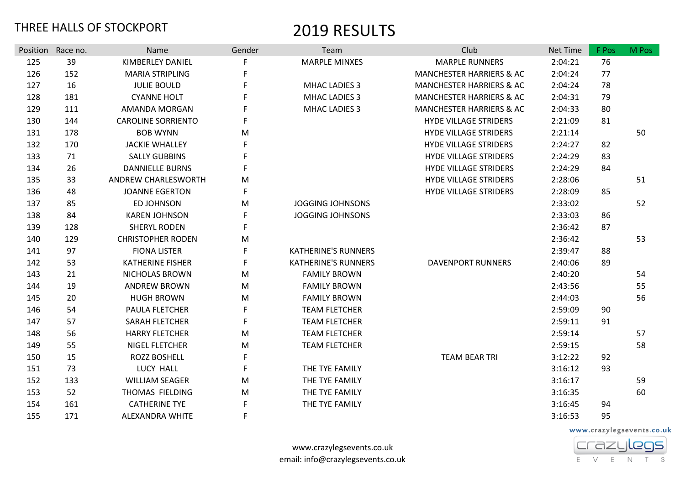|     | Position Race no. | Name                      | Gender      | Team                       | Club                                | Net Time | F Pos | M Pos |
|-----|-------------------|---------------------------|-------------|----------------------------|-------------------------------------|----------|-------|-------|
| 125 | 39                | <b>KIMBERLEY DANIEL</b>   |             | <b>MARPLE MINXES</b>       | <b>MARPLE RUNNERS</b>               | 2:04:21  | 76    |       |
| 126 | 152               | <b>MARIA STRIPLING</b>    | F           |                            | <b>MANCHESTER HARRIERS &amp; AC</b> | 2:04:24  | 77    |       |
| 127 | 16                | <b>JULIE BOULD</b>        | F           | <b>MHAC LADIES 3</b>       | MANCHESTER HARRIERS & AC            | 2:04:24  | 78    |       |
| 128 | 181               | <b>CYANNE HOLT</b>        | F           | <b>MHAC LADIES 3</b>       | MANCHESTER HARRIERS & AC            | 2:04:31  | 79    |       |
| 129 | 111               | AMANDA MORGAN             |             | <b>MHAC LADIES 3</b>       | <b>MANCHESTER HARRIERS &amp; AC</b> | 2:04:33  | 80    |       |
| 130 | 144               | <b>CAROLINE SORRIENTO</b> | F           |                            | <b>HYDE VILLAGE STRIDERS</b>        | 2:21:09  | 81    |       |
| 131 | 178               | <b>BOB WYNN</b>           | M           |                            | <b>HYDE VILLAGE STRIDERS</b>        | 2:21:14  |       | 50    |
| 132 | 170               | <b>JACKIE WHALLEY</b>     |             |                            | <b>HYDE VILLAGE STRIDERS</b>        | 2:24:27  | 82    |       |
| 133 | 71                | <b>SALLY GUBBINS</b>      |             |                            | <b>HYDE VILLAGE STRIDERS</b>        | 2:24:29  | 83    |       |
| 134 | 26                | <b>DANNIELLE BURNS</b>    | F           |                            | <b>HYDE VILLAGE STRIDERS</b>        | 2:24:29  | 84    |       |
| 135 | 33                | ANDREW CHARLESWORTH       | M           |                            | <b>HYDE VILLAGE STRIDERS</b>        | 2:28:06  |       | 51    |
| 136 | 48                | <b>JOANNE EGERTON</b>     | F           |                            | <b>HYDE VILLAGE STRIDERS</b>        | 2:28:09  | 85    |       |
| 137 | 85                | <b>ED JOHNSON</b>         | M           | <b>JOGGING JOHNSONS</b>    |                                     | 2:33:02  |       | 52    |
| 138 | 84                | <b>KAREN JOHNSON</b>      |             | <b>JOGGING JOHNSONS</b>    |                                     | 2:33:03  | 86    |       |
| 139 | 128               | <b>SHERYL RODEN</b>       | F           |                            |                                     | 2:36:42  | 87    |       |
| 140 | 129               | <b>CHRISTOPHER RODEN</b>  | M           |                            |                                     | 2:36:42  |       | 53    |
| 141 | 97                | <b>FIONA LISTER</b>       | F           | <b>KATHERINE'S RUNNERS</b> |                                     | 2:39:47  | 88    |       |
| 142 | 53                | <b>KATHERINE FISHER</b>   | F           | <b>KATHERINE'S RUNNERS</b> | <b>DAVENPORT RUNNERS</b>            | 2:40:06  | 89    |       |
| 143 | 21                | NICHOLAS BROWN            | M           | <b>FAMILY BROWN</b>        |                                     | 2:40:20  |       | 54    |
| 144 | 19                | <b>ANDREW BROWN</b>       | M           | <b>FAMILY BROWN</b>        |                                     | 2:43:56  |       | 55    |
| 145 | 20                | <b>HUGH BROWN</b>         | M           | <b>FAMILY BROWN</b>        |                                     | 2:44:03  |       | 56    |
| 146 | 54                | PAULA FLETCHER            | F           | <b>TEAM FLETCHER</b>       |                                     | 2:59:09  | 90    |       |
| 147 | 57                | SARAH FLETCHER            | F           | <b>TEAM FLETCHER</b>       |                                     | 2:59:11  | 91    |       |
| 148 | 56                | <b>HARRY FLETCHER</b>     | M           | <b>TEAM FLETCHER</b>       |                                     | 2:59:14  |       | 57    |
| 149 | 55                | <b>NIGEL FLETCHER</b>     | M           | <b>TEAM FLETCHER</b>       |                                     | 2:59:15  |       | 58    |
| 150 | 15                | <b>ROZZ BOSHELL</b>       | F           |                            | <b>TEAM BEAR TRI</b>                | 3:12:22  | 92    |       |
| 151 | 73                | LUCY HALL                 | $\mathsf F$ | THE TYE FAMILY             |                                     | 3:16:12  | 93    |       |
| 152 | 133               | <b>WILLIAM SEAGER</b>     | M           | THE TYE FAMILY             |                                     | 3:16:17  |       | 59    |
| 153 | 52                | THOMAS FIELDING           | M           | THE TYE FAMILY             |                                     | 3:16:35  |       | 60    |
| 154 | 161               | <b>CATHERINE TYE</b>      |             | THE TYE FAMILY             |                                     | 3:16:45  | 94    |       |
| 155 | 171               | ALEXANDRA WHITE           | F           |                            |                                     | 3:16:53  | 95    |       |